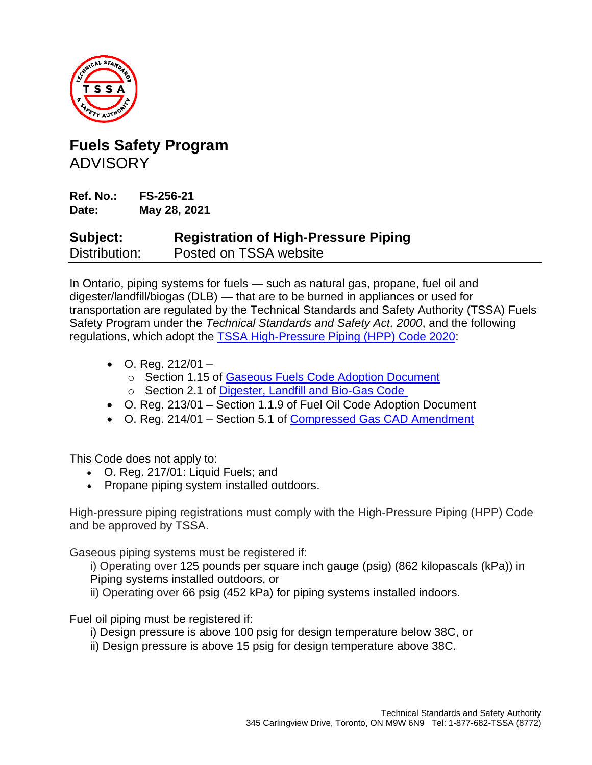

## **Fuels Safety Program** ADVISORY

**Ref. No.: FS-256-21 Date: May 28, 2021**

## **Subject: Registration of High-Pressure Piping** Distribution: Posted on TSSA website

In Ontario, piping systems for fuels — such as natural gas, propane, fuel oil and digester/landfill/biogas (DLB) — that are to be burned in appliances or used for transportation are regulated by the Technical Standards and Safety Authority (TSSA) Fuels Safety Program under the *Technical Standards and Safety Act, 2000*, and the following regulations, which adopt the [TSSA High-Pressure Piping \(HPP\) Code 2020:](https://www.tssa.org/en/fuels/resources/TSSA-HPP-2020-Clean-Nov-7-2020.pdf)

- O. Reg.  $212/01$ 
	- o Section 1.15 of [Gaseous Fuels Code Adoption Document](https://www.tssa.org/en/fuels/resources/Gaseous-Fuels-CAD-Amendment-Web-March-1-2021-v2.pdf)
	- o Section 2.1 of [Digester, Landfill and Bio-Gas Code](https://www.tssa.org/en/fuels/resources/TSSA-DLB-2020-Feb-09-2021.pdf)
- O. Reg. 213/01 Section 1.1.9 of Fuel Oil Code Adoption Document
- O. Reg. 214/01 Section 5.1 of [Compressed Gas CAD Amendment](https://www.tssa.org/en/fuels/resources/Documents/Amendment-to-the-Compressed-Gas-CAD---Final.pdf)

This Code does not apply to:

- O. [Reg. 217/01: Liquid Fuels;](https://www.ontario.ca/laws/regulation/010217) and
- Propane piping system installed outdoors.

High-pressure piping registrations must comply with the High-Pressure Piping (HPP) Code and be approved by TSSA.

Gaseous piping systems must be registered if:

i) Operating over 125 pounds per square inch gauge (psig) (862 kilopascals (kPa)) in Piping systems installed outdoors, or

ii) Operating over 66 psig (452 kPa) for piping systems installed indoors.

Fuel oil piping must be registered if:

- i) Design pressure is above 100 psig for design temperature below 38C, or
- ii) Design pressure is above 15 psig for design temperature above 38C.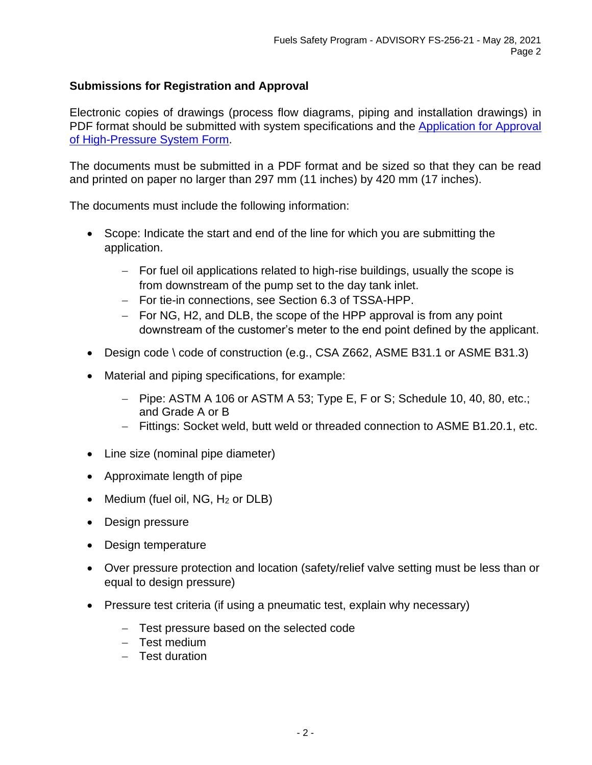## **Submissions for Registration and Approval**

Electronic copies of drawings (process flow diagrams, piping and installation drawings) in PDF format should be submitted with system specifications and the Application for Approval [of High-Pressure System Form.](https://www.tssa.org/en/about-tssa/resources/Documents/Application-for-Approval-of-High-Pressure-System--2020.pdf)

The documents must be submitted in a PDF format and be sized so that they can be read and printed on paper no larger than 297 mm (11 inches) by 420 mm (17 inches).

The documents must include the following information:

- Scope: Indicate the start and end of the line for which you are submitting the application.
	- − For fuel oil applications related to high-rise buildings, usually the scope is from downstream of the pump set to the day tank inlet.
	- − For tie-in connections, see Section 6.3 of TSSA-HPP.
	- − For NG, H2, and DLB, the scope of the HPP approval is from any point downstream of the customer's meter to the end point defined by the applicant.
- Design code \ code of construction (e.g., CSA Z662, ASME B31.1 or ASME B31.3)
- Material and piping specifications, for example:
	- − Pipe: ASTM A 106 or ASTM A 53; Type E, F or S; Schedule 10, 40, 80, etc.; and Grade A or B
	- − Fittings: Socket weld, butt weld or threaded connection to ASME B1.20.1, etc.
- Line size (nominal pipe diameter)
- Approximate length of pipe
- Medium (fuel oil,  $NG$ ,  $H_2$  or  $DLB$ )
- Design pressure
- Design temperature
- Over pressure protection and location (safety/relief valve setting must be less than or equal to design pressure)
- Pressure test criteria (if using a pneumatic test, explain why necessary)
	- − Test pressure based on the selected code
	- − Test medium
	- − Test duration